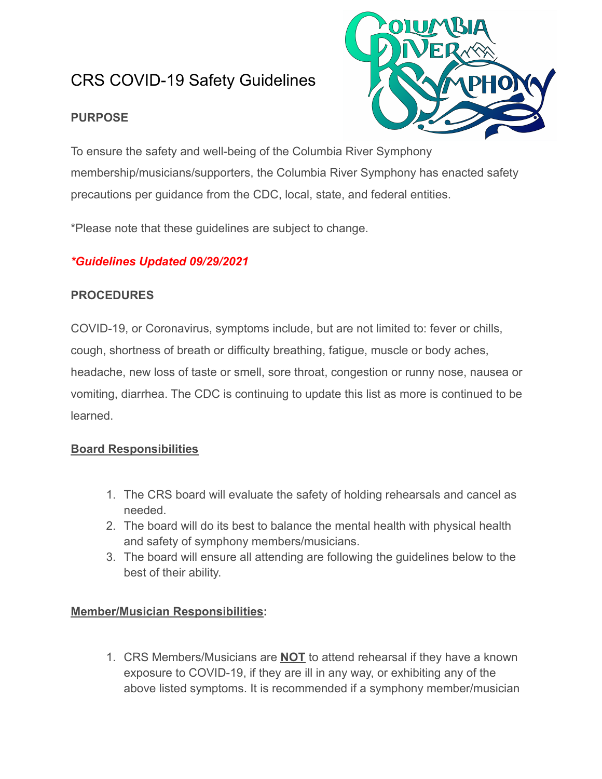# CRS COVID-19 Safety Guidelines

## **PURPOSE**



To ensure the safety and well-being of the Columbia River Symphony membership/musicians/supporters, the Columbia River Symphony has enacted safety precautions per guidance from the CDC, local, state, and federal entities.

\*Please note that these guidelines are subject to change.

# *\*Guidelines Updated 09/29/2021*

## **PROCEDURES**

COVID-19, or Coronavirus, symptoms include, but are not limited to: fever or chills, cough, shortness of breath or difficulty breathing, fatigue, muscle or body aches, headache, new loss of taste or smell, sore throat, congestion or runny nose, nausea or vomiting, diarrhea. The CDC is continuing to update this list as more is continued to be learned.

# **Board Responsibilities**

- 1. The CRS board will evaluate the safety of holding rehearsals and cancel as needed.
- 2. The board will do its best to balance the mental health with physical health and safety of symphony members/musicians.
- 3. The board will ensure all attending are following the guidelines below to the best of their ability.

## **Member/Musician Responsibilities:**

1. CRS Members/Musicians are **NOT** to attend rehearsal if they have a known exposure to COVID-19, if they are ill in any way, or exhibiting any of the above listed symptoms. It is recommended if a symphony member/musician